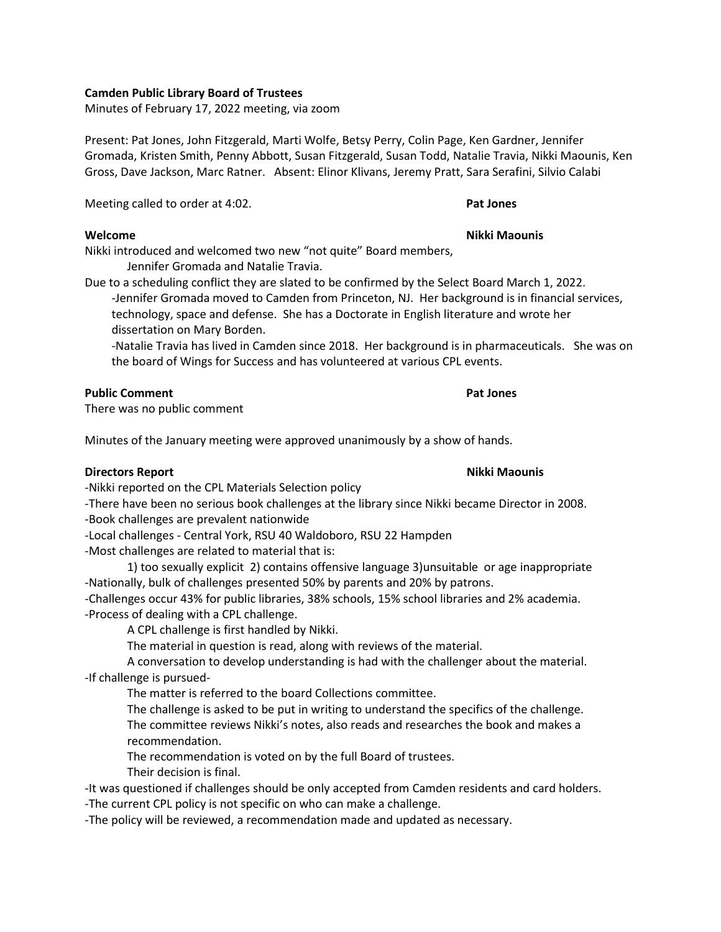## **Camden Public Library Board of Trustees**

Minutes of February 17, 2022 meeting, via zoom

Present: Pat Jones, John Fitzgerald, Marti Wolfe, Betsy Perry, Colin Page, Ken Gardner, Jennifer Gromada, Kristen Smith, Penny Abbott, Susan Fitzgerald, Susan Todd, Natalie Travia, Nikki Maounis, Ken Gross, Dave Jackson, Marc Ratner. Absent: Elinor Klivans, Jeremy Pratt, Sara Serafini, Silvio Calabi

Meeting called to order at 4:02. **Pat Jones**

# **Welcome Nikki Maounis**

Nikki introduced and welcomed two new "not quite" Board members, Jennifer Gromada and Natalie Travia.

Due to a scheduling conflict they are slated to be confirmed by the Select Board March 1, 2022.

-Jennifer Gromada moved to Camden from Princeton, NJ. Her background is in financial services, technology, space and defense. She has a Doctorate in English literature and wrote her dissertation on Mary Borden.

-Natalie Travia has lived in Camden since 2018. Her background is in pharmaceuticals. She was on the board of Wings for Success and has volunteered at various CPL events.

# **Public Comment Pat Jones**

There was no public comment

Minutes of the January meeting were approved unanimously by a show of hands.

# **Directors Report Nikki Maounis**

-Nikki reported on the CPL Materials Selection policy

-There have been no serious book challenges at the library since Nikki became Director in 2008. -Book challenges are prevalent nationwide

-Local challenges - Central York, RSU 40 Waldoboro, RSU 22 Hampden

-Most challenges are related to material that is:

1) too sexually explicit 2) contains offensive language 3)unsuitable or age inappropriate -Nationally, bulk of challenges presented 50% by parents and 20% by patrons.

-Challenges occur 43% for public libraries, 38% schools, 15% school libraries and 2% academia. -Process of dealing with a CPL challenge.

A CPL challenge is first handled by Nikki.

The material in question is read, along with reviews of the material.

A conversation to develop understanding is had with the challenger about the material. -If challenge is pursued-

The matter is referred to the board Collections committee.

The challenge is asked to be put in writing to understand the specifics of the challenge. The committee reviews Nikki's notes, also reads and researches the book and makes a recommendation.

The recommendation is voted on by the full Board of trustees.

Their decision is final.

-It was questioned if challenges should be only accepted from Camden residents and card holders. -The current CPL policy is not specific on who can make a challenge.

-The policy will be reviewed, a recommendation made and updated as necessary.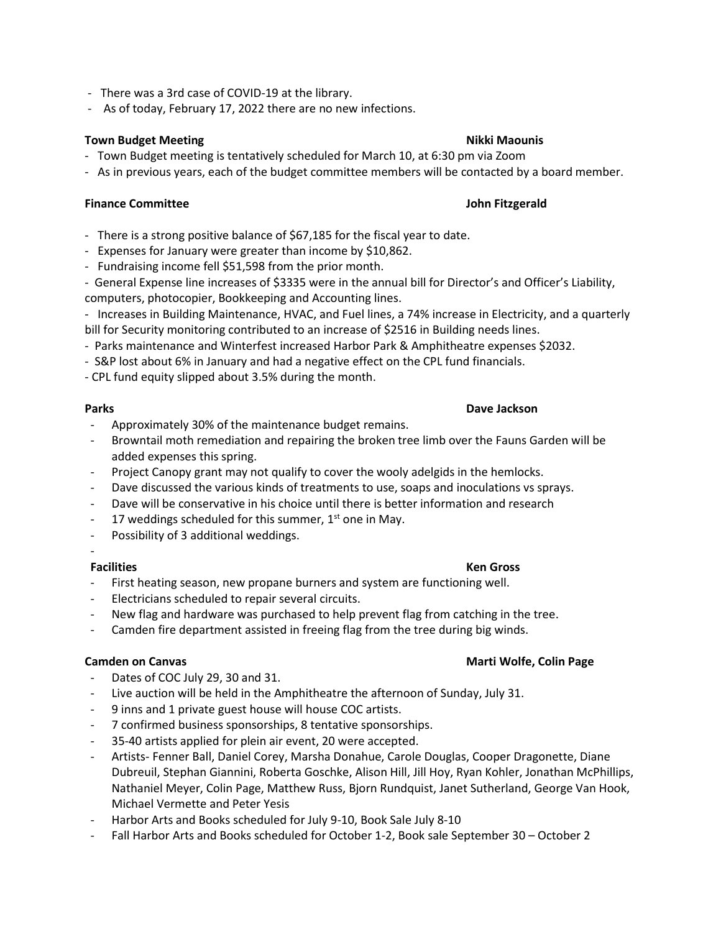- There was a 3rd case of COVID-19 at the library.
- As of today, February 17, 2022 there are no new infections.

# **Town Budget Meeting**  Nikki Maounis

- Town Budget meeting is tentatively scheduled for March 10, at 6:30 pm via Zoom
- As in previous years, each of the budget committee members will be contacted by a board member.

## **Finance Committee John Fitzgerald**

- There is a strong positive balance of \$67,185 for the fiscal year to date.
- Expenses for January were greater than income by \$10,862.
- Fundraising income fell \$51,598 from the prior month.
- General Expense line increases of \$3335 were in the annual bill for Director's and Officer's Liability, computers, photocopier, Bookkeeping and Accounting lines.

- Increases in Building Maintenance, HVAC, and Fuel lines, a 74% increase in Electricity, and a quarterly bill for Security monitoring contributed to an increase of \$2516 in Building needs lines.

- Parks maintenance and Winterfest increased Harbor Park & Amphitheatre expenses \$2032.
- S&P lost about 6% in January and had a negative effect on the CPL fund financials.
- CPL fund equity slipped about 3.5% during the month.

## **Parks Dave Jackson**

- Approximately 30% of the maintenance budget remains.
- Browntail moth remediation and repairing the broken tree limb over the Fauns Garden will be added expenses this spring.
- Project Canopy grant may not qualify to cover the wooly adelgids in the hemlocks.
- Dave discussed the various kinds of treatments to use, soaps and inoculations vs sprays.
- Dave will be conservative in his choice until there is better information and research
- 17 weddings scheduled for this summer,  $1<sup>st</sup>$  one in May.
- Possibility of 3 additional weddings.
- -

## **Facilities Ken Gross**

- First heating season, new propane burners and system are functioning well.
- Electricians scheduled to repair several circuits.
- New flag and hardware was purchased to help prevent flag from catching in the tree.
- Camden fire department assisted in freeing flag from the tree during big winds.

## **Camden on Canvas Marti Wolfe, Colin Page**

- Dates of COC July 29, 30 and 31.
- Live auction will be held in the Amphitheatre the afternoon of Sunday, July 31.
- 9 inns and 1 private guest house will house COC artists.
- 7 confirmed business sponsorships, 8 tentative sponsorships.
- 35-40 artists applied for plein air event, 20 were accepted.
- Artists- Fenner Ball, Daniel Corey, Marsha Donahue, Carole Douglas, Cooper Dragonette, Diane Dubreuil, Stephan Giannini, Roberta Goschke, Alison Hill, Jill Hoy, Ryan Kohler, Jonathan McPhillips, Nathaniel Meyer, Colin Page, Matthew Russ, Bjorn Rundquist, Janet Sutherland, George Van Hook, Michael Vermette and Peter Yesis
- Harbor Arts and Books scheduled for July 9-10, Book Sale July 8-10
- Fall Harbor Arts and Books scheduled for October 1-2, Book sale September 30 October 2